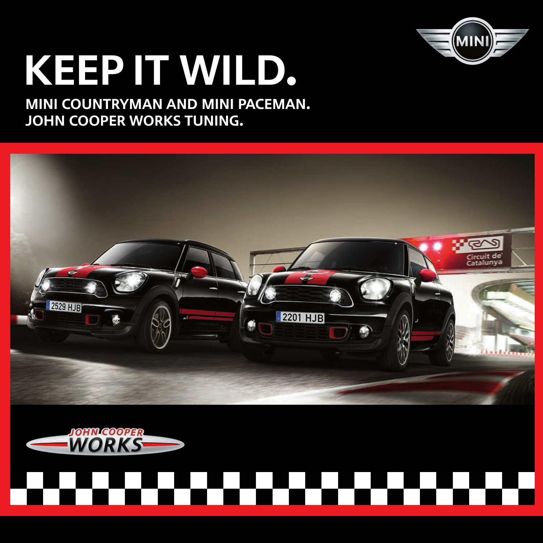

# Keep it wild.

## MINI COUNTRYMAN and MINI Paceman. John cooper works tuning.



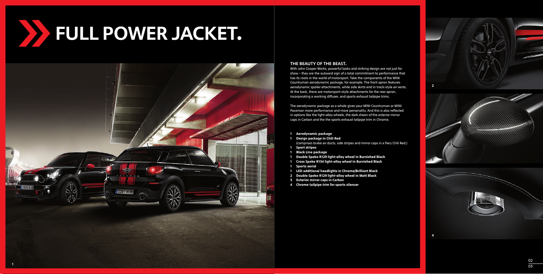FULL POWER JACKET. 



#### THE BEAUTY OF THE BEAST.

With John Cooper Works, powerful looks and striking design are not just for show – they are the outward sign of a total commitment to performance that has its roots in the world of motorsport. Take the components of the MINI Countryman aerodynamic package, for example. The front apron features aerodynamic spoiler attachments, while side skirts end in track-style air vents. At the back, there are motorsport-style attachments for the rear apron, incorporating a working diffuser, and sports exhaust tailpipe trims.

The aerodynamic package as a whole gives your MINI Countryman or MINI Paceman more performance and more personality. And this is also reflected in options like the light-alloy wheels, the dark sheen of the exterior mirror caps in Carbon and the the sports exhaust tailpipe trim in Chrome.

- **Aerodynamic package**
- **Design package in Chili Red**  (comprises brake air ducts, side stripes and mirror caps in a fiery Chili Red.)
- **Sport stripes**
- **Black Line package**
- 1 Double Spoke R129 light-alloy wheel in Burnished Black
- **Cross Spoke R light-alloy wheel in Burnished Black Sports aerial**
- 
- **LED additional headlights in Chrome/Brilliant Black**
- **Double Spoke R light-alloy wheel in Matt Black**
- **Exterior mirror caps in Carbon**
- **Chrome tailpipe trim for sports silencer**

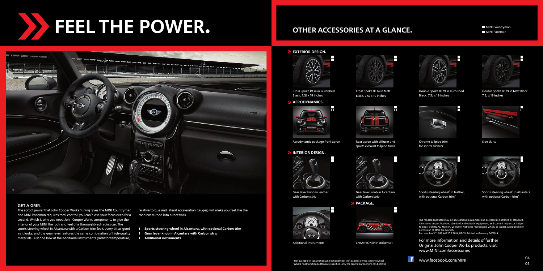FEEL THE POWER.



### GET A GRIP.

The sort of power that John Cooper Works Tuning gives the MINI Countryman and MINI Paceman requires total control: you can't lose your focus even for a second. Which is why you need John Cooper Works components to give the interior of your MINI the look and feel of a thoroughbred racing car. The sports steering wheel in Alcantara with a Carbon trim feels every bit as good as it looks, and the gear lever features the same combination of high-quality materials. Just one look at the additional instruments (radiator temperature,

relative torque and lateral acceleration gauges) will make you feel like the road has turned into a racetrack.

- **Sports steering wheel in Alcantara, with optional Carbon trim Gear lever knob in Alcantara with Carbon strip**
- 1
- **Additional instruments**

# OTHER ACCESSORIES AT A GLANCE.

 MINI Paceman **MINI Countryman** 



Cross Spoke R134 in Burnished Black, 7.5J x 19 inches





Aerodynamic package front apron Rear apron with diffuser and

#### **SEINTERIOR DESIGN.**



Gear lever knob in leather with Carbon strip



Additional instruments







Double Spoke R129 in Matt Black.

Double Spoke R129 in Burnished Black,  $7.5$ J x 19 inches





Side skirts

 $7.5$ J x 19 inches

Chrome tailpipe trim for sports silencer



Sports steering wheel<sup>1</sup> in leather, with optional Carbon trim<sup>2</sup>

Sports steering wheel<sup>1</sup> in Alcantara, with optional Carbon trim<sup>2</sup>

The models illustrated may include optional equipment and accessories not fitted as standard. Alterations to specifications, standard and optional equipment, and content may occur. Subject to error. © BMW AG, Munich, Germany. Not to be reproduced, wholly or in part, without written permission of BMW AG, Munich. Part number 5 11 999 442 20 7 2014, BB-31. Printed in Germany 06/2014.

For more information and details of further Original John Cooper Works products, visit: www.MINI.com/accessories

 $\mathbf{f}$ www.facebook.com/MINI







Gear lever knob in Alcantara with Carbon strip >> PACKAGE.



Cross Spoke R134 in Matt Black,  $2.5$ J x 19 inches

CHAMPIONSHIP sticker set

sports exhaust tailpipe trims